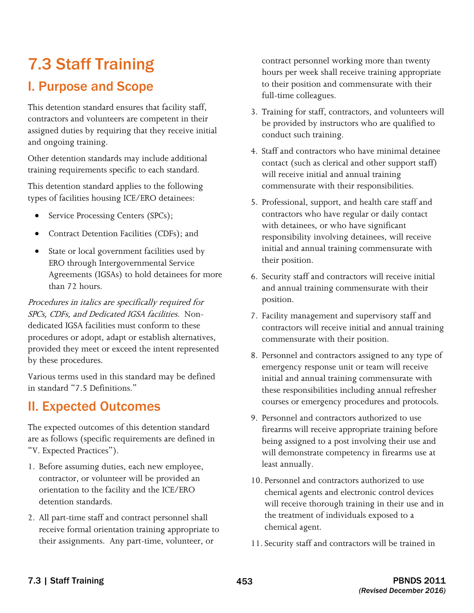# 7.3 Staff Training

# I. Purpose and Scope

This detention standard ensures that facility staff, contractors and volunteers are competent in their assigned duties by requiring that they receive initial and ongoing training.

Other detention standards may include additional training requirements specific to each standard.

This detention standard applies to the following types of facilities housing ICE/ERO detainees:

- Service Processing Centers (SPCs);
- Contract Detention Facilities (CDFs); and
- State or local government facilities used by ERO through Intergovernmental Service Agreements (IGSAs) to hold detainees for more than 72 hours.

 SPCs, CDFs, and Dedicated IGSA facilities. Non-Procedures in italics are specifically required for dedicated IGSA facilities must conform to these procedures or adopt, adapt or establish alternatives, provided they meet or exceed the intent represented by these procedures.

Various terms used in this standard may be defined in standard "7.5 Definitions."

## II. Expected Outcomes

The expected outcomes of this detention standard are as follows (specific requirements are defined in "V. Expected Practices").

- 1. Before assuming duties, each new employee, contractor, or volunteer will be provided an orientation to the facility and the ICE/ERO detention standards.
- 2. All part-time staff and contract personnel shall receive formal orientation training appropriate to their assignments. Any part-time, volunteer, or

contract personnel working more than twenty hours per week shall receive training appropriate to their position and commensurate with their full-time colleagues.

- 3. Training for staff, contractors, and volunteers will be provided by instructors who are qualified to conduct such training.
- 4. Staff and contractors who have minimal detainee contact (such as clerical and other support staff) will receive initial and annual training commensurate with their responsibilities.
- 5. Professional, support, and health care staff and contractors who have regular or daily contact with detainees, or who have significant responsibility involving detainees, will receive initial and annual training commensurate with their position.
- 6. Security staff and contractors will receive initial and annual training commensurate with their position.
- 7. Facility management and supervisory staff and contractors will receive initial and annual training commensurate with their position.
- 8. Personnel and contractors assigned to any type of emergency response unit or team will receive initial and annual training commensurate with these responsibilities including annual refresher courses or emergency procedures and protocols.
- 9. Personnel and contractors authorized to use firearms will receive appropriate training before being assigned to a post involving their use and will demonstrate competency in firearms use at least annually.
- chemical agent. 10. Personnel and contractors authorized to use chemical agents and electronic control devices will receive thorough training in their use and in the treatment of individuals exposed to a
- 11. Security staff and contractors will be trained in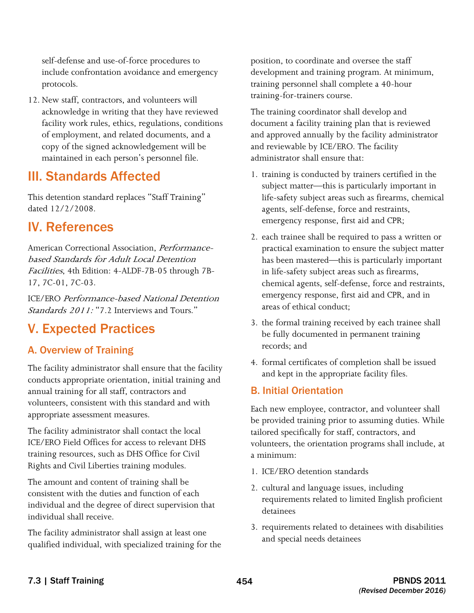include confrontation avoidance and emergency self-defense and use-of-force procedures to protocols.

12. New staff, contractors, and volunteers will acknowledge in writing that they have reviewed facility work rules, ethics, regulations, conditions of employment, and related documents, and a copy of the signed acknowledgement will be maintained in each person's personnel file.

### III. Standards Affected

This detention standard replaces "Staff Training" dated 12/2/2008.

### IV. References

American Correctional Association, Performancebased Standards for Adult Local Detention Facilities, 4th Edition: 4-ALDF-7B-05 through 7B-17, 7C-01, 7C-03.

ICE/ERO Performance-based National Detention Standards 2011: "7.2 Interviews and Tours."

### V. Expected Practices

### A. Overview of Training

The facility administrator shall ensure that the facility conducts appropriate orientation, initial training and annual training for all staff, contractors and volunteers, consistent with this standard and with appropriate assessment measures.

The facility administrator shall contact the local ICE/ERO Field Offices for access to relevant DHS training resources, such as DHS Office for Civil Rights and Civil Liberties training modules.

The amount and content of training shall be consistent with the duties and function of each individual and the degree of direct supervision that individual shall receive.

The facility administrator shall assign at least one qualified individual, with specialized training for the position, to coordinate and oversee the staff development and training program. At minimum, training personnel shall complete a 40-hour training-for-trainers course.

The training coordinator shall develop and document a facility training plan that is reviewed and approved annually by the facility administrator and reviewable by ICE/ERO. The facility administrator shall ensure that:

- 1. training is conducted by trainers certified in the subject matter—this is particularly important in life-safety subject areas such as firearms, chemical agents, self-defense, force and restraints, emergency response, first aid and CPR;
- 2. each trainee shall be required to pass a written or practical examination to ensure the subject matter has been mastered—this is particularly important in life-safety subject areas such as firearms, chemical agents, self-defense, force and restraints, emergency response, first aid and CPR, and in areas of ethical conduct;
- 3. the formal training received by each trainee shall be fully documented in permanent training records; and
- 4. formal certificates of completion shall be issued and kept in the appropriate facility files.

#### B. Initial Orientation

Each new employee, contractor, and volunteer shall be provided training prior to assuming duties. While tailored specifically for staff, contractors, and volunteers, the orientation programs shall include, at a minimum:

- 1. ICE/ERO detention standards
- 2. cultural and language issues, including requirements related to limited English proficient detainees
- 3. requirements related to detainees with disabilities and special needs detainees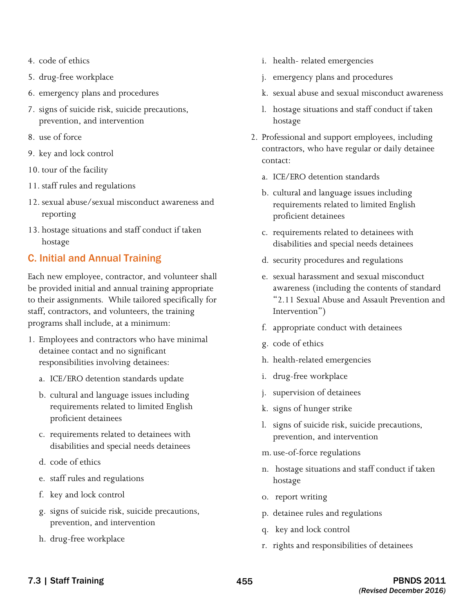- 4. code of ethics
- 5. drug-free workplace
- 6. emergency plans and procedures
- 7. signs of suicide risk, suicide precautions, prevention, and intervention
- 8. use of force
- 9. key and lock control
- 10. tour of the facility
- 11. staff rules and regulations
- 12. sexual abuse/sexual misconduct awareness and reporting
- 13. hostage situations and staff conduct if taken hostage

#### C. Initial and Annual Training

Each new employee, contractor, and volunteer shall be provided initial and annual training appropriate to their assignments. While tailored specifically for staff, contractors, and volunteers, the training programs shall include, at a minimum:

- detainee contact and no significant 1. Employees and contractors who have minimal responsibilities involving detainees:
	- a. ICE/ERO detention standards update
	- b. cultural and language issues including requirements related to limited English proficient detainees
	- c. requirements related to detainees with disabilities and special needs detainees
	- d. code of ethics
	- e. staff rules and regulations
	- f. key and lock control
	- g. signs of suicide risk, suicide precautions, prevention, and intervention
	- h. drug-free workplace
- i. health- related emergencies
- j. emergency plans and procedures
- k. sexual abuse and sexual misconduct awareness
- l. hostage situations and staff conduct if taken hostage
- 2. Professional and support employees, including contractors, who have regular or daily detainee contact:
	- a. ICE/ERO detention standards
	- b. cultural and language issues including requirements related to limited English proficient detainees
	- c. requirements related to detainees with disabilities and special needs detainees
	- d. security procedures and regulations
	- awareness (including the contents of standard e. sexual harassment and sexual misconduct "2.11 Sexual Abuse and Assault Prevention and Intervention")
	- f. appropriate conduct with detainees
	- g. code of ethics
	- h. health-related emergencies
	- i. drug-free workplace
	- j. supervision of detainees
	- k. signs of hunger strike
	- l. signs of suicide risk, suicide precautions, prevention, and intervention
	- m. use-of-force regulations
	- n. hostage situations and staff conduct if taken hostage
	- o. report writing
	- p. detainee rules and regulations
	- q. key and lock control
	- r. rights and responsibilities of detainees